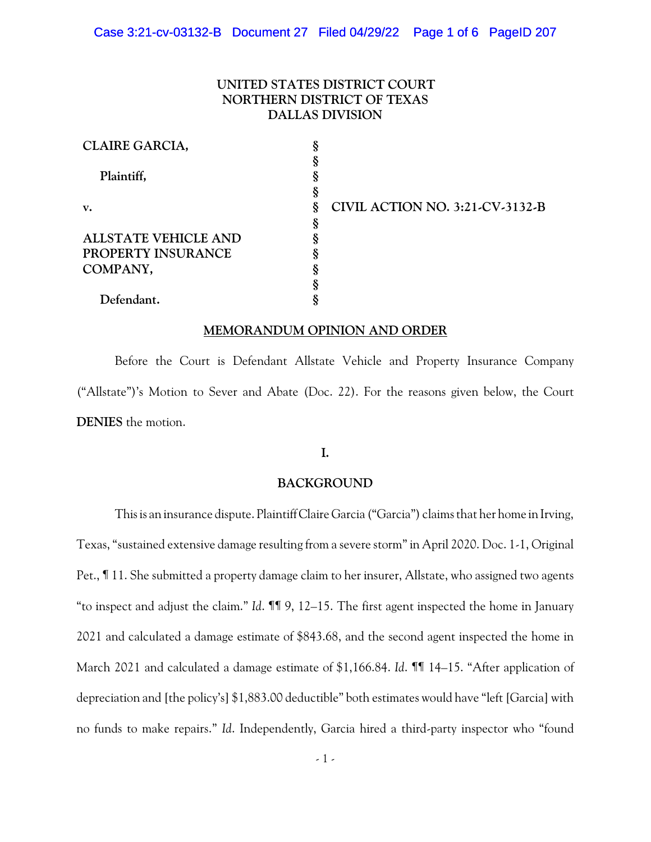## **UNITED STATES DISTRICT COURT NORTHERN DISTRICT OF TEXAS DALLAS DIVISION**

| CLAIRE GARCIA,              |   |                                 |
|-----------------------------|---|---------------------------------|
|                             |   |                                 |
| Plaintiff,                  |   |                                 |
|                             |   |                                 |
| $V_{\bullet}$               | ş | CIVIL ACTION NO. 3:21-CV-3132-B |
|                             |   |                                 |
| <b>ALLSTATE VEHICLE AND</b> |   |                                 |
| PROPERTY INSURANCE          |   |                                 |
| COMPANY,                    |   |                                 |
|                             |   |                                 |
| Defendant.                  |   |                                 |

#### **MEMORANDUM OPINION AND ORDER**

Before the Court is Defendant Allstate Vehicle and Property Insurance Company ("Allstate")'s Motion to Sever and Abate (Doc. 22). For the reasons given below, the Court **DENIES** the motion.

## **I.**

#### **BACKGROUND**

This is an insurance dispute. Plaintiff Claire Garcia ("Garcia") claims that her home in Irving, Texas, "sustained extensive damage resulting from a severe storm"in April 2020. Doc. 1-1, Original Pet., ¶ 11. She submitted a property damage claim to her insurer, Allstate, who assigned two agents "to inspect and adjust the claim." *Id*. ¶¶ 9, 12–15. The first agent inspected the home in January 2021 and calculated a damage estimate of \$843.68, and the second agent inspected the home in March 2021 and calculated a damage estimate of \$1,166.84. *Id*. **11** 14–15. "After application of depreciation and [the policy's] \$1,883.00 deductible" both estimates would have "left [Garcia] with no funds to make repairs." *Id*. Independently, Garcia hired a third-party inspector who "found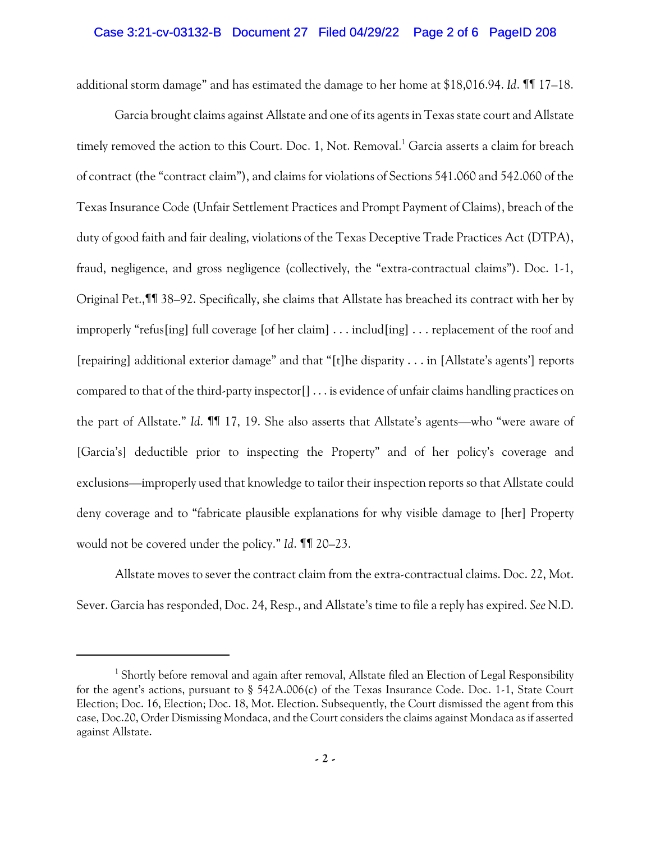## Case 3:21-cv-03132-B Document 27 Filed 04/29/22 Page 2 of 6 PageID 208

additional storm damage" and has estimated the damage to her home at \$18,016.94. *Id*. ¶¶ 17–18.

Garcia brought claims against Allstate and one of its agents in Texas state court and Allstate timely removed the action to this Court. Doc. 1, Not. Removal. <sup>1</sup> Garcia asserts a claim for breach of contract (the "contract claim"), and claims for violations of Sections 541.060 and 542.060 of the Texas Insurance Code (Unfair Settlement Practices and Prompt Payment of Claims), breach of the duty of good faith and fair dealing, violations of the Texas Deceptive Trade Practices Act (DTPA), fraud, negligence, and gross negligence (collectively, the "extra-contractual claims"). Doc. 1-1, Original Pet.,¶¶ 38–92. Specifically, she claims that Allstate has breached its contract with her by improperly "refus[ing] full coverage [of her claim] . . . includ[ing] . . . replacement of the roof and [repairing] additional exterior damage" and that "[t]he disparity . . . in [Allstate's agents'] reports compared to that of the third-party inspector[] . . . is evidence of unfair claims handling practices on the part of Allstate." *Id*. ¶¶ 17, 19. She also asserts that Allstate's agents—who "were aware of [Garcia's] deductible prior to inspecting the Property" and of her policy's coverage and exclusions—improperly used that knowledge to tailor their inspection reports so that Allstate could deny coverage and to "fabricate plausible explanations for why visible damage to [her] Property would not be covered under the policy." *Id*. ¶¶ 20–23.

Allstate moves to sever the contract claim from the extra-contractual claims. Doc. 22, Mot. Sever. Garcia has responded, Doc. 24, Resp., and Allstate's time to file a reply has expired. *See* N.D.

<sup>&</sup>lt;sup>1</sup> Shortly before removal and again after removal, Allstate filed an Election of Legal Responsibility for the agent's actions, pursuant to § 542A.006(c) of the Texas Insurance Code. Doc. 1-1, State Court Election; Doc. 16, Election; Doc. 18, Mot. Election. Subsequently, the Court dismissed the agent from this case, Doc.20, Order Dismissing Mondaca, and the Court considers the claims against Mondaca as if asserted against Allstate.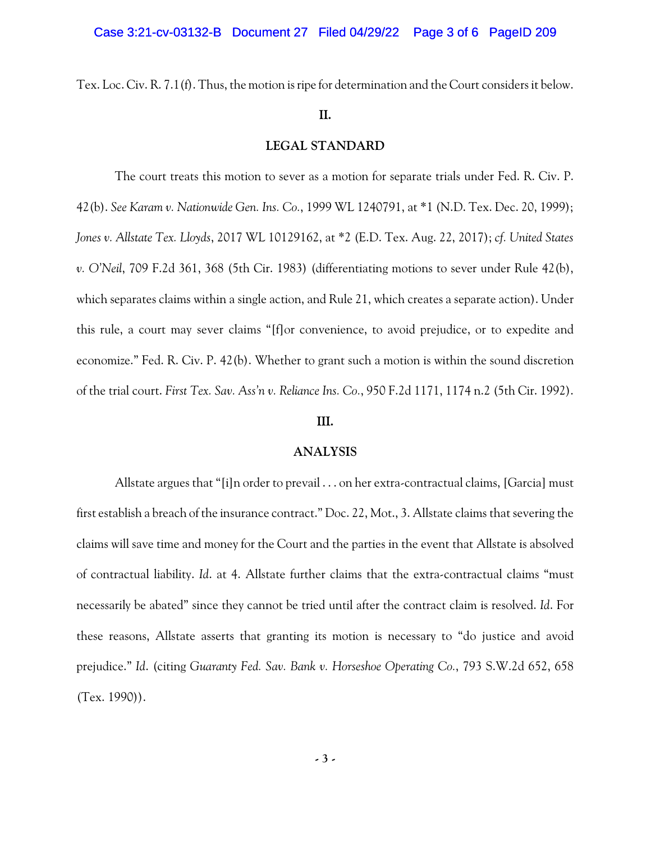Tex. Loc. Civ. R. 7.1(f). Thus, the motion is ripe for determination and the Court considers it below.

#### **II.**

#### **LEGAL STANDARD**

The court treats this motion to sever as a motion for separate trials under Fed. R. Civ. P. 42(b). *See Karam v. Nationwide Gen. Ins. Co.*, 1999 WL 1240791, at \*1 (N.D. Tex. Dec. 20, 1999); *Jones v. Allstate Tex. Lloyds*, 2017 WL 10129162, at \*2 (E.D. Tex. Aug. 22, 2017); *cf. United States v. O'Neil*, 709 F.2d 361, 368 (5th Cir. 1983) (differentiating motions to sever under Rule 42(b), which separates claims within a single action, and Rule 21, which creates a separate action). Under this rule, a court may sever claims "[f]or convenience, to avoid prejudice, or to expedite and economize." Fed. R. Civ. P. 42(b). Whether to grant such a motion is within the sound discretion of the trial court. *First Tex. Sav. Ass'n v. Reliance Ins. Co.*, 950 F.2d 1171, 1174 n.2 (5th Cir. 1992).

### **III.**

#### **ANALYSIS**

Allstate argues that "[i]n order to prevail . . . on her extra-contractual claims, [Garcia] must first establish a breach of the insurance contract." Doc. 22, Mot., 3. Allstate claims that severing the claims will save time and money for the Court and the parties in the event that Allstate is absolved of contractual liability. *Id*. at 4. Allstate further claims that the extra-contractual claims "must necessarily be abated" since they cannot be tried until after the contract claim is resolved. *Id*. For these reasons, Allstate asserts that granting its motion is necessary to "do justice and avoid prejudice." *Id*. (citing *Guaranty Fed. Sav. Bank v. Horseshoe Operating Co.*, 793 S.W.2d 652, 658 (Tex. 1990)).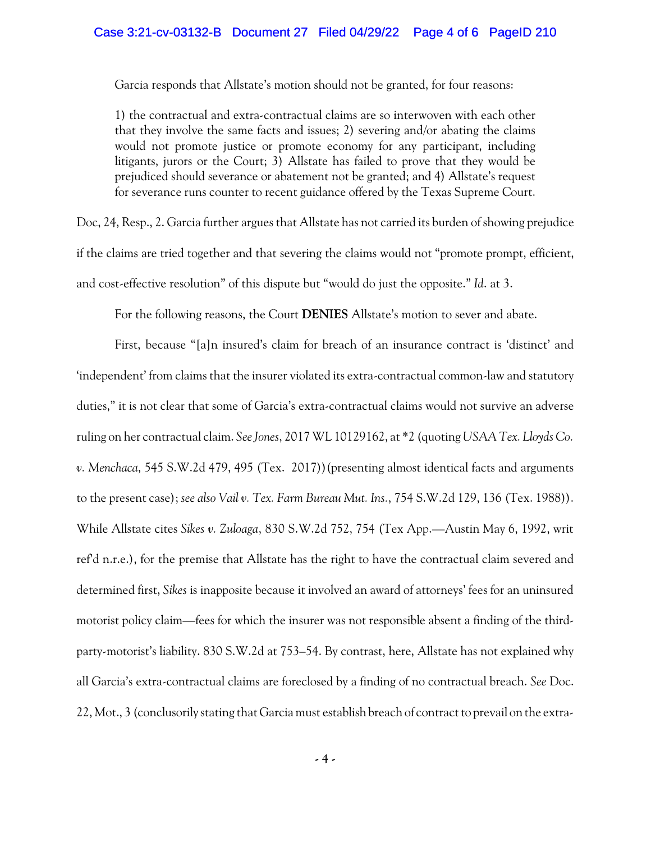Garcia responds that Allstate's motion should not be granted, for four reasons:

1) the contractual and extra-contractual claims are so interwoven with each other that they involve the same facts and issues; 2) severing and/or abating the claims would not promote justice or promote economy for any participant, including litigants, jurors or the Court; 3) Allstate has failed to prove that they would be prejudiced should severance or abatement not be granted; and 4) Allstate's request for severance runs counter to recent guidance offered by the Texas Supreme Court.

Doc, 24, Resp., 2. Garcia further argues that Allstate has not carried its burden of showing prejudice if the claims are tried together and that severing the claims would not "promote prompt, efficient, and cost-effective resolution" of this dispute but "would do just the opposite." *Id*. at 3.

For the following reasons, the Court **DENIES** Allstate's motion to sever and abate.

First, because "[a]n insured's claim for breach of an insurance contract is 'distinct' and 'independent' from claims that the insurer violated its extra-contractual common-law and statutory duties," it is not clear that some of Garcia's extra-contractual claims would not survive an adverse ruling on her contractual claim. *See Jones*, 2017 WL 10129162, at \*2 (quoting *USAA Tex. Lloyds Co. v. Menchaca*, 545 S.W.2d 479, 495 (Tex. 2017))(presenting almost identical facts and arguments to the present case); *see also Vail v. Tex. Farm Bureau Mut. Ins.*, 754 S.W.2d 129, 136 (Tex. 1988)). While Allstate cites *Sikes v. Zuloaga*, 830 S.W.2d 752, 754 (Tex App.—Austin May 6, 1992, writ ref'd n.r.e.), for the premise that Allstate has the right to have the contractual claim severed and determined first, *Sikes* is inapposite because it involved an award of attorneys' fees for an uninsured motorist policy claim—fees for which the insurer was not responsible absent a finding of the thirdparty-motorist's liability. 830 S.W.2d at 753–54. By contrast, here, Allstate has not explained why all Garcia's extra-contractual claims are foreclosed by a finding of no contractual breach. *See* Doc. 22, Mot., 3 (conclusorily stating that Garcia must establish breach of contract to prevail on the extra-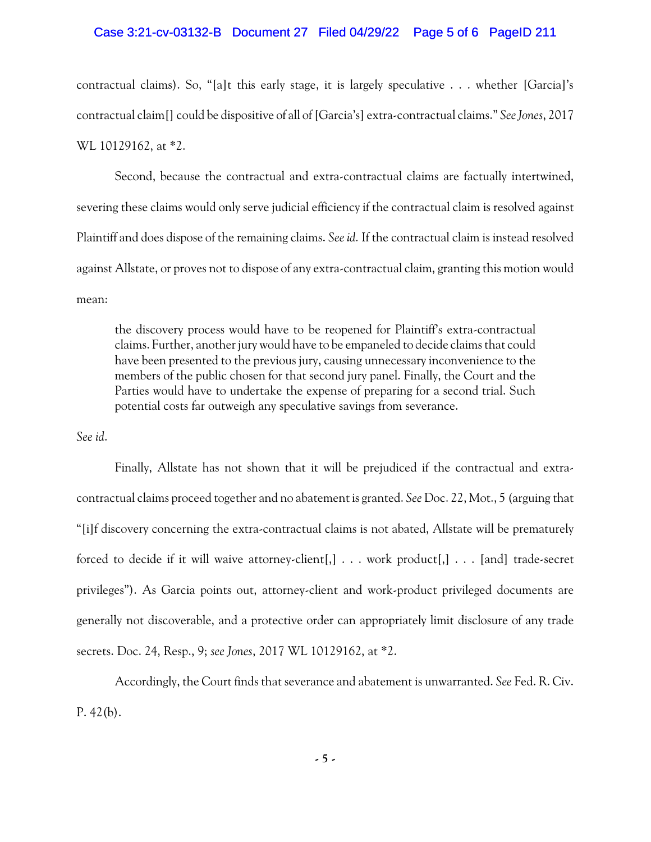### Case 3:21-cv-03132-B Document 27 Filed 04/29/22 Page 5 of 6 PageID 211

contractual claims). So, "[a]t this early stage, it is largely speculative . . . whether [Garcia]'s contractual claim[] could be dispositive of all of [Garcia's] extra-contractual claims." *See Jones*, 2017 WL 10129162, at \*2.

Second, because the contractual and extra-contractual claims are factually intertwined, severing these claims would only serve judicial efficiency if the contractual claim is resolved against Plaintiff and does dispose of the remaining claims. *See id.* If the contractual claim is instead resolved against Allstate, or proves not to dispose of any extra-contractual claim, granting this motion would mean:

the discovery process would have to be reopened for Plaintiff's extra-contractual claims. Further, another jury would have to be empaneled to decide claims that could have been presented to the previous jury, causing unnecessary inconvenience to the members of the public chosen for that second jury panel. Finally, the Court and the Parties would have to undertake the expense of preparing for a second trial. Such potential costs far outweigh any speculative savings from severance.

*See id*.

Finally, Allstate has not shown that it will be prejudiced if the contractual and extracontractual claims proceed together and no abatement is granted. *See* Doc. 22, Mot., 5 (arguing that "[i]f discovery concerning the extra-contractual claims is not abated, Allstate will be prematurely forced to decide if it will waive attorney-client[,] . . . work product[,] . . . [and] trade-secret privileges"). As Garcia points out, attorney-client and work-product privileged documents are generally not discoverable, and a protective order can appropriately limit disclosure of any trade secrets. Doc. 24, Resp., 9; *see Jones*, 2017 WL 10129162, at \*2.

Accordingly, the Court finds that severance and abatement is unwarranted. *See* Fed. R. Civ.  $P. 42(b).$